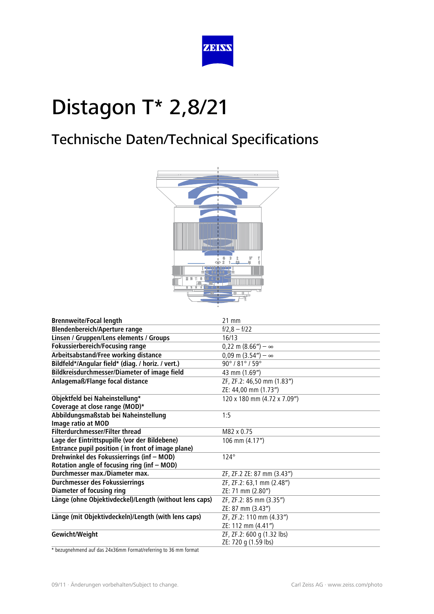

### Technische Daten/Technical Specifications



| <b>Brennweite/Focal length</b>                         | $21$ mm                             |
|--------------------------------------------------------|-------------------------------------|
| <b>Blendenbereich/Aperture range</b>                   | $f/2,8 - f/22$                      |
| Linsen / Gruppen/Lens elements / Groups                | 16/13                               |
| <b>Fokussierbereich/Focusing range</b>                 | $0,22 \text{ m } (8.66'') - \infty$ |
| Arbeitsabstand/Free working distance                   | $0,09$ m $(3.54'') - \infty$        |
| Bildfeld*/Angular field* (diag. / horiz. / vert.)      | 90°/81°/59°                         |
| Bildkreisdurchmesser/Diameter of image field           | 43 mm (1.69")                       |
| Anlagemaß/Flange focal distance                        | ZF, ZF.2: 46,50 mm (1.83")          |
|                                                        | ZE: 44,00 mm (1.73")                |
| Objektfeld bei Naheinstellung*                         | 120 x 180 mm (4.72 x 7.09")         |
| Coverage at close range (MOD)*                         |                                     |
| Abbildungsmaßstab bei Naheinstellung                   | 1:5                                 |
| Image ratio at MOD                                     |                                     |
| <b>Filterdurchmesser/Filter thread</b>                 | M82 x 0.75                          |
| Lage der Eintrittspupille (vor der Bildebene)          | 106 mm (4.17")                      |
| Entrance pupil position ( in front of image plane)     |                                     |
| Drehwinkel des Fokussierrings (inf - MOD)              | $124^\circ$                         |
| Rotation angle of focusing ring (inf - MOD)            |                                     |
| Durchmesser max./Diameter max.                         | ZF, ZF.2 ZE: 87 mm (3.43")          |
| Durchmesser des Fokussierrings                         | ZF, ZF.2: 63,1 mm (2.48")           |
| <b>Diameter of focusing ring</b>                       | ZE: 71 mm (2.80")                   |
| Länge (ohne Objektivdeckel)/Length (without lens caps) | ZF, ZF.2: 85 mm (3.35")             |
|                                                        | ZE: 87 mm (3.43")                   |
| Länge (mit Objektivdeckeln)/Length (with lens caps)    | ZF, ZF.2: 110 mm (4.33")            |
|                                                        | ZE: 112 mm (4.41")                  |
| Gewicht/Weight                                         | ZF, ZF.2: 600 g (1.32 lbs)          |
|                                                        | ZE: 720 g (1.59 lbs)                |

\* bezugnehmend auf das 24x36mm Format/referring to 36 mm format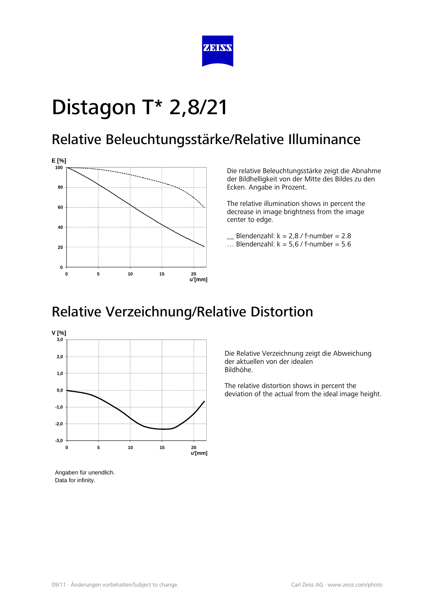

#### Relative Beleuchtungsstärke/Relative Illuminance



Die relative Beleuchtungsstärke zeigt die Abnahme der Bildhelligkeit von der Mitte des Bildes zu den Ecken. Angabe in Prozent.

The relative illumination shows in percent the decrease in image brightness from the image center to edge.

Blendenzahl:  $k = 2.8$  / f-number = 2.8

... Blendenzahl:  $k = 5.6$  / f-number = 5.6

#### Relative Verzeichnung/Relative Distortion



Die Relative Verzeichnung zeigt die Abweichung der aktuellen von der idealen Bildhöhe.

The relative distortion shows in percent the deviation of the actual from the ideal image height.

Angaben für unendlich. Data for infinity.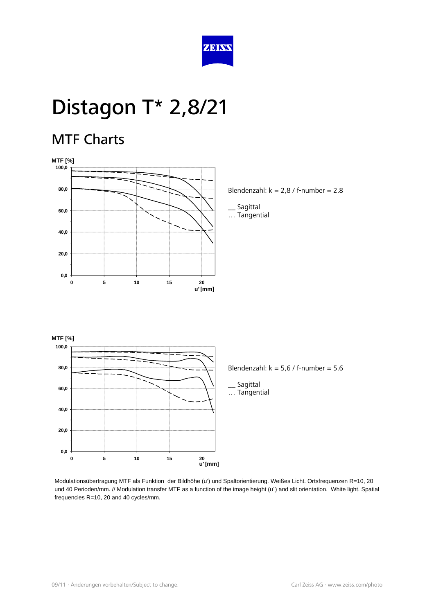

#### MTF Charts



Blendenzahl:  $k = 2.8$  / f-number = 2.8

\_\_ Sagittal … Tangential



Modulationsübertragung MTF als Funktion der Bildhöhe (u') und Spaltorientierung. Weißes Licht. Ortsfrequenzen R=10, 20 und 40 Perioden/mm. // Modulation transfer MTF as a function of the image height (u') and slit orientation. White light. Spatial frequencies R=10, 20 and 40 cycles/mm.